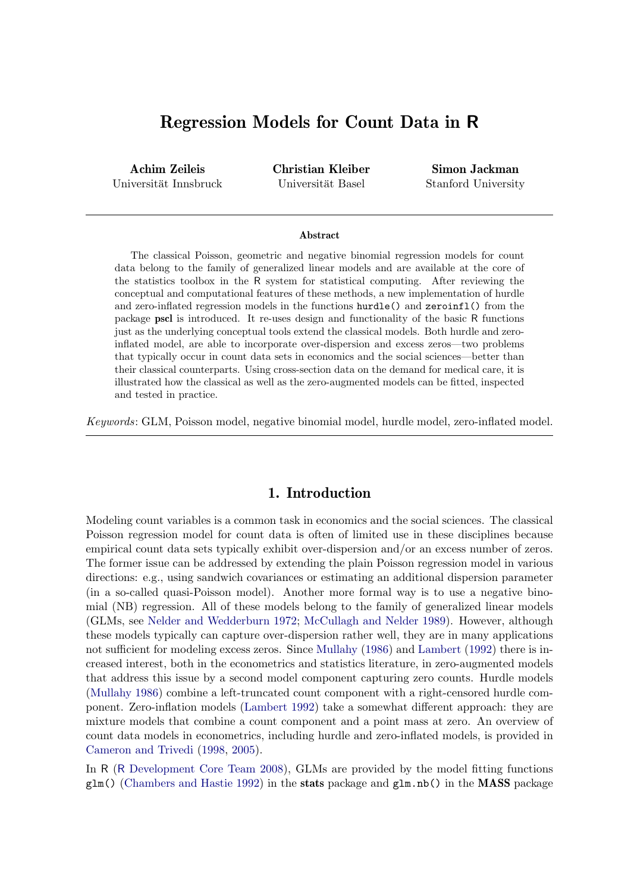# Regression Models for Count Data in R

Achim Zeileis Universität Innsbruck Christian Kleiber Universität Basel

Simon Jackman Stanford University

#### Abstract

The classical Poisson, geometric and negative binomial regression models for count data belong to the family of generalized linear models and are available at the core of the statistics toolbox in the R system for statistical computing. After reviewing the conceptual and computational features of these methods, a new implementation of hurdle and zero-inflated regression models in the functions hurdle() and zeroinfl() from the package pscl is introduced. It re-uses design and functionality of the basic R functions just as the underlying conceptual tools extend the classical models. Both hurdle and zeroinflated model, are able to incorporate over-dispersion and excess zeros—two problems that typically occur in count data sets in economics and the social sciences—better than their classical counterparts. Using cross-section data on the demand for medical care, it is illustrated how the classical as well as the zero-augmented models can be fitted, inspected and tested in practice.

Keywords: GLM, Poisson model, negative binomial model, hurdle model, zero-inflated model.

### 1. Introduction

Modeling count variables is a common task in economics and the social sciences. The classical Poisson regression model for count data is often of limited use in these disciplines because empirical count data sets typically exhibit over-dispersion and/or an excess number of zeros. The former issue can be addressed by extending the plain Poisson regression model in various directions: e.g., using sandwich covariances or estimating an additional dispersion parameter (in a so-called quasi-Poisson model). Another more formal way is to use a negative binomial (NB) regression. All of these models belong to the family of generalized linear models (GLMs, see [Nelder and Wedderburn](#page-20-0) [1972;](#page-20-0) [McCullagh and Nelder](#page-19-0) [1989\)](#page-19-0). However, although these models typically can capture over-dispersion rather well, they are in many applications not sufficient for modeling excess zeros. Since [Mullahy](#page-19-1) [\(1986\)](#page-19-1) and [Lambert](#page-19-2) [\(1992\)](#page-19-2) there is increased interest, both in the econometrics and statistics literature, in zero-augmented models that address this issue by a second model component capturing zero counts. Hurdle models [\(Mullahy](#page-19-1) [1986\)](#page-19-1) combine a left-truncated count component with a right-censored hurdle component. Zero-inflation models [\(Lambert](#page-19-2) [1992\)](#page-19-2) take a somewhat different approach: they are mixture models that combine a count component and a point mass at zero. An overview of count data models in econometrics, including hurdle and zero-inflated models, is provided in [Cameron and Trivedi](#page-19-3) [\(1998,](#page-19-3) [2005\)](#page-19-4).

In R (R [Development Core Team](#page-20-1) [2008\)](#page-20-1), GLMs are provided by the model fitting functions  $glm()$  [\(Chambers and Hastie](#page-19-5) [1992\)](#page-19-5) in the stats package and  $glm.nb$  in the MASS package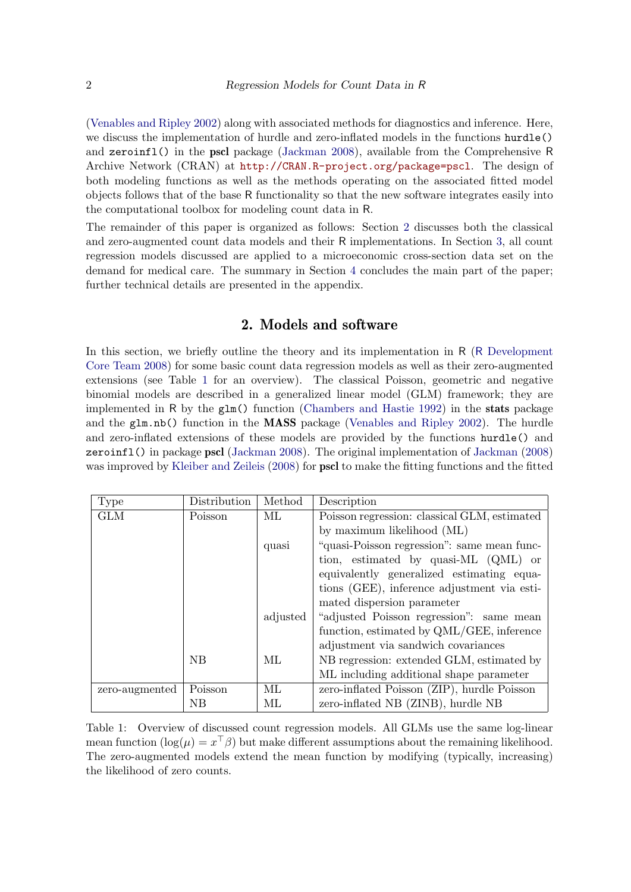[\(Venables and Ripley](#page-20-2) [2002\)](#page-20-2) along with associated methods for diagnostics and inference. Here, we discuss the implementation of hurdle and zero-inflated models in the functions hurdle() and zeroinfl() in the pscl package [\(Jackman](#page-19-6) [2008\)](#page-19-6), available from the Comprehensive R Archive Network (CRAN) at <http://CRAN.R-project.org/package=pscl>. The design of both modeling functions as well as the methods operating on the associated fitted model objects follows that of the base R functionality so that the new software integrates easily into the computational toolbox for modeling count data in R.

The remainder of this paper is organized as follows: Section [2](#page-1-0) discusses both the classical and zero-augmented count data models and their R implementations. In Section [3,](#page-7-0) all count regression models discussed are applied to a microeconomic cross-section data set on the demand for medical care. The summary in Section [4](#page-18-0) concludes the main part of the paper; further technical details are presented in the appendix.

### 2. Models and software

<span id="page-1-0"></span>In this section, we briefly outline the theory and its implementation in R (R [Development](#page-20-1) [Core Team](#page-20-1) [2008\)](#page-20-1) for some basic count data regression models as well as their zero-augmented extensions (see Table [1](#page-1-1) for an overview). The classical Poisson, geometric and negative binomial models are described in a generalized linear model (GLM) framework; they are implemented in R by the glm() function [\(Chambers and Hastie](#page-19-5) [1992\)](#page-19-5) in the stats package and the glm.nb() function in the MASS package [\(Venables and Ripley](#page-20-2) [2002\)](#page-20-2). The hurdle and zero-inflated extensions of these models are provided by the functions hurdle() and zeroinfl() in package pscl [\(Jackman](#page-19-6) [2008\)](#page-19-6). The original implementation of [Jackman](#page-19-6) [\(2008\)](#page-19-6) was improved by [Kleiber and Zeileis](#page-19-7) [\(2008\)](#page-19-7) for **pscl** to make the fitting functions and the fitted

| <b>Type</b>    | Distribution | Method   | Description                                  |
|----------------|--------------|----------|----------------------------------------------|
| <b>GLM</b>     | Poisson      | ML.      | Poisson regression: classical GLM, estimated |
|                |              |          | by maximum likelihood (ML)                   |
|                |              | quasi    | "quasi-Poisson regression": same mean func-  |
|                |              |          | tion, estimated by quasi-ML (QML) or         |
|                |              |          | equivalently generalized estimating equa-    |
|                |              |          | tions (GEE), inference adjustment via esti-  |
|                |              |          | mated dispersion parameter                   |
|                |              | adjusted | "adjusted Poisson regression": same mean     |
|                |              |          | function, estimated by QML/GEE, inference    |
|                |              |          | adjustment via sandwich covariances          |
|                | NB           | ML.      | NB regression: extended GLM, estimated by    |
|                |              |          | ML including additional shape parameter      |
| zero-augmented | Poisson      | ML.      | zero-inflated Poisson (ZIP), hurdle Poisson  |
|                | NB           | МL       | zero-inflated NB (ZINB), hurdle NB           |

<span id="page-1-1"></span>Table 1: Overview of discussed count regression models. All GLMs use the same log-linear mean function  $(\log(\mu) = x^{\top} \beta)$  but make different assumptions about the remaining likelihood. The zero-augmented models extend the mean function by modifying (typically, increasing) the likelihood of zero counts.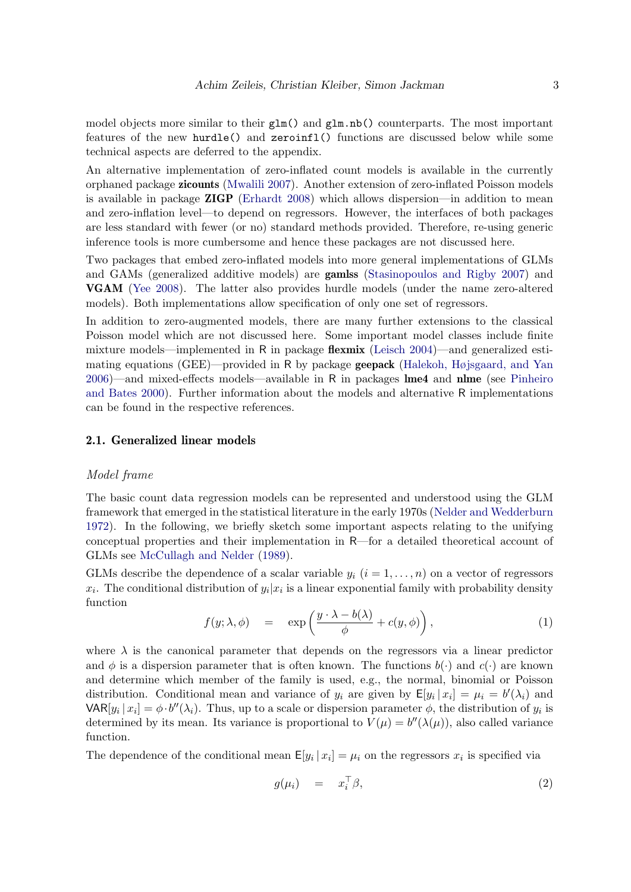model objects more similar to their  $glm$ ) and  $glm.nb$ ) counterparts. The most important features of the new hurdle() and zeroinfl() functions are discussed below while some technical aspects are deferred to the appendix.

An alternative implementation of zero-inflated count models is available in the currently orphaned package zicounts [\(Mwalili](#page-20-3) [2007\)](#page-20-3). Another extension of zero-inflated Poisson models is available in package ZIGP [\(Erhardt](#page-19-8) [2008\)](#page-19-8) which allows dispersion—in addition to mean and zero-inflation level—to depend on regressors. However, the interfaces of both packages are less standard with fewer (or no) standard methods provided. Therefore, re-using generic inference tools is more cumbersome and hence these packages are not discussed here.

Two packages that embed zero-inflated models into more general implementations of GLMs and GAMs (generalized additive models) are gamlss [\(Stasinopoulos and Rigby](#page-20-4) [2007\)](#page-20-4) and VGAM [\(Yee](#page-20-5) [2008\)](#page-20-5). The latter also provides hurdle models (under the name zero-altered models). Both implementations allow specification of only one set of regressors.

In addition to zero-augmented models, there are many further extensions to the classical Poisson model which are not discussed here. Some important model classes include finite mixture models—implemented in R in package **flexmix** [\(Leisch](#page-19-9)  $2004$ )—and generalized estimating equations (GEE)—provided in R by package geepack [\(Halekoh, Højsgaard, and Yan](#page-19-10) [2006\)](#page-19-10)—and mixed-effects models—available in R in packages lme4 and nlme (see [Pinheiro](#page-20-6) [and Bates](#page-20-6) [2000\)](#page-20-6). Further information about the models and alternative R implementations can be found in the respective references.

#### 2.1. Generalized linear models

#### Model frame

The basic count data regression models can be represented and understood using the GLM framework that emerged in the statistical literature in the early 1970s [\(Nelder and Wedderburn](#page-20-0) [1972\)](#page-20-0). In the following, we briefly sketch some important aspects relating to the unifying conceptual properties and their implementation in R—for a detailed theoretical account of GLMs see [McCullagh and Nelder](#page-19-0) [\(1989\)](#page-19-0).

GLMs describe the dependence of a scalar variable  $y_i$   $(i = 1, \ldots, n)$  on a vector of regressors  $x_i$ . The conditional distribution of  $y_i|x_i$  is a linear exponential family with probability density function

<span id="page-2-0"></span>
$$
f(y; \lambda, \phi) = \exp\left(\frac{y \cdot \lambda - b(\lambda)}{\phi} + c(y, \phi)\right), \tag{1}
$$

where  $\lambda$  is the canonical parameter that depends on the regressors via a linear predictor and  $\phi$  is a dispersion parameter that is often known. The functions  $b(\cdot)$  and  $c(\cdot)$  are known and determine which member of the family is used, e.g., the normal, binomial or Poisson distribution. Conditional mean and variance of  $y_i$  are given by  $\mathsf{E}[y_i | x_i] = \mu_i = b'(\lambda_i)$  and  $\text{VAR}[y_i | x_i] = \phi \cdot b''(\lambda_i)$ . Thus, up to a scale or dispersion parameter  $\phi$ , the distribution of  $y_i$  is determined by its mean. Its variance is proportional to  $V(\mu) = b''(\lambda(\mu))$ , also called variance function.

The dependence of the conditional mean  $\mathsf{E}[y_i | x_i] = \mu_i$  on the regressors  $x_i$  is specified via

<span id="page-2-1"></span>
$$
g(\mu_i) = x_i^{\top} \beta, \qquad (2)
$$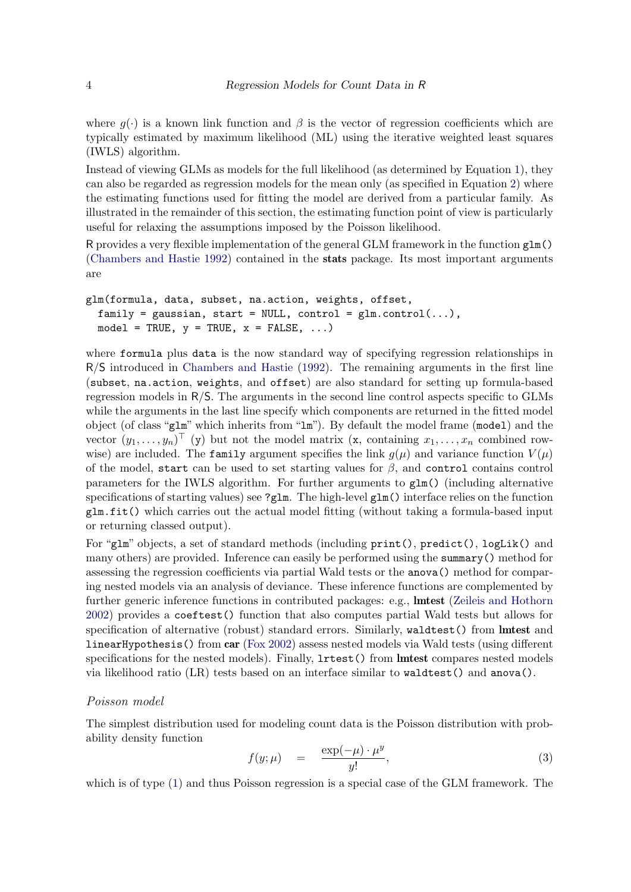where  $q(\cdot)$  is a known link function and  $\beta$  is the vector of regression coefficients which are typically estimated by maximum likelihood (ML) using the iterative weighted least squares (IWLS) algorithm.

Instead of viewing GLMs as models for the full likelihood (as determined by Equation [1\)](#page-2-0), they can also be regarded as regression models for the mean only (as specified in Equation [2\)](#page-2-1) where the estimating functions used for fitting the model are derived from a particular family. As illustrated in the remainder of this section, the estimating function point of view is particularly useful for relaxing the assumptions imposed by the Poisson likelihood.

R provides a very flexible implementation of the general GLM framework in the function glm() [\(Chambers and Hastie](#page-19-5) [1992\)](#page-19-5) contained in the stats package. Its most important arguments are

```
glm(formula, data, subset, na.action, weights, offset,
 family = gaussian, start = NULL, control = glm.control(...),
 model = TRUE, y = TRUE, x = FALSE, ...)
```
where formula plus data is the now standard way of specifying regression relationships in R/S introduced in [Chambers and Hastie](#page-19-5) [\(1992\)](#page-19-5). The remaining arguments in the first line (subset, na.action, weights, and offset) are also standard for setting up formula-based regression models in R/S. The arguments in the second line control aspects specific to GLMs while the arguments in the last line specify which components are returned in the fitted model object (of class "glm" which inherits from "lm"). By default the model frame (model) and the vector  $(y_1, \ldots, y_n)$ <sup>T</sup> (y) but not the model matrix (x, containing  $x_1, \ldots, x_n$  combined rowwise) are included. The family argument specifies the link  $q(\mu)$  and variance function  $V(\mu)$ of the model, start can be used to set starting values for  $\beta$ , and control contains control parameters for the IWLS algorithm. For further arguments to glm() (including alternative specifications of starting values) see ? $g1m$ . The high-level  $g1m$ () interface relies on the function glm.fit() which carries out the actual model fitting (without taking a formula-based input or returning classed output).

For "glm" objects, a set of standard methods (including print(), predict(), logLik() and many others) are provided. Inference can easily be performed using the summary() method for assessing the regression coefficients via partial Wald tests or the anova() method for comparing nested models via an analysis of deviance. These inference functions are complemented by further generic inference functions in contributed packages: e.g., **Imtest** [\(Zeileis and Hothorn](#page-20-7) [2002\)](#page-20-7) provides a coeftest() function that also computes partial Wald tests but allows for specification of alternative (robust) standard errors. Similarly, waldtest() from **lmtest** and linearHypothesis() from car [\(Fox](#page-19-11) [2002\)](#page-19-11) assess nested models via Wald tests (using different specifications for the nested models). Finally,  $l$ rtest() from lmtest compares nested models via likelihood ratio (LR) tests based on an interface similar to waldtest() and anova().

#### Poisson model

The simplest distribution used for modeling count data is the Poisson distribution with probability density function

$$
f(y; \mu) = \frac{\exp(-\mu) \cdot \mu^y}{y!}, \tag{3}
$$

which is of type [\(1\)](#page-2-0) and thus Poisson regression is a special case of the GLM framework. The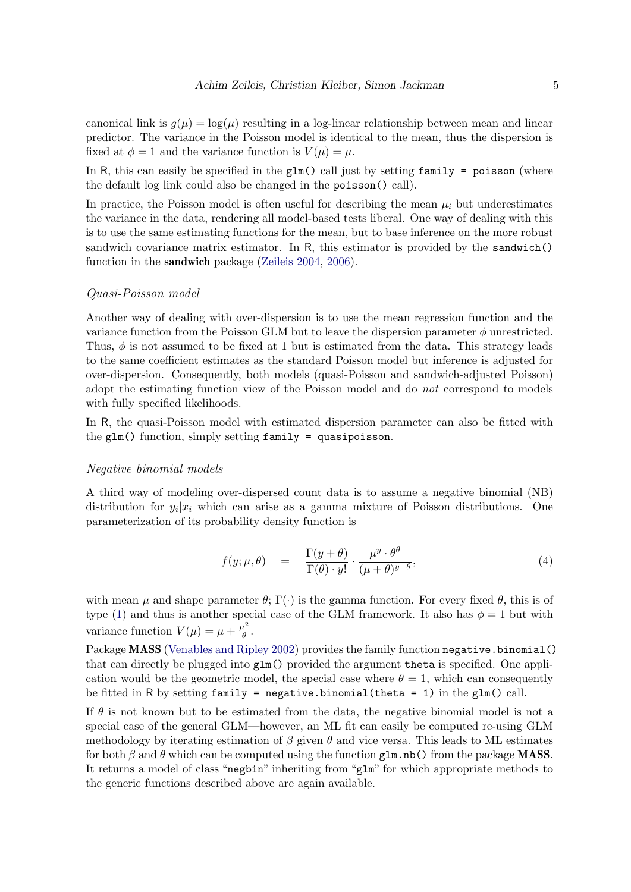canonical link is  $g(\mu) = \log(\mu)$  resulting in a log-linear relationship between mean and linear predictor. The variance in the Poisson model is identical to the mean, thus the dispersion is fixed at  $\phi = 1$  and the variance function is  $V(\mu) = \mu$ .

In R, this can easily be specified in the  $glm()$  call just by setting family = poisson (where the default log link could also be changed in the poisson() call).

In practice, the Poisson model is often useful for describing the mean  $\mu_i$  but underestimates the variance in the data, rendering all model-based tests liberal. One way of dealing with this is to use the same estimating functions for the mean, but to base inference on the more robust sandwich covariance matrix estimator. In R, this estimator is provided by the sandwich() function in the sandwich package [\(Zeileis](#page-20-8) [2004,](#page-20-8) [2006\)](#page-20-9).

#### Quasi-Poisson model

Another way of dealing with over-dispersion is to use the mean regression function and the variance function from the Poisson GLM but to leave the dispersion parameter  $\phi$  unrestricted. Thus,  $\phi$  is not assumed to be fixed at 1 but is estimated from the data. This strategy leads to the same coefficient estimates as the standard Poisson model but inference is adjusted for over-dispersion. Consequently, both models (quasi-Poisson and sandwich-adjusted Poisson) adopt the estimating function view of the Poisson model and do not correspond to models with fully specified likelihoods.

In R, the quasi-Poisson model with estimated dispersion parameter can also be fitted with the glm() function, simply setting family = quasipoisson.

#### Negative binomial models

A third way of modeling over-dispersed count data is to assume a negative binomial (NB) distribution for  $y_i|x_i$  which can arise as a gamma mixture of Poisson distributions. One parameterization of its probability density function is

$$
f(y; \mu, \theta) = \frac{\Gamma(y + \theta)}{\Gamma(\theta) \cdot y!} \cdot \frac{\mu^y \cdot \theta^{\theta}}{(\mu + \theta)^{y + \theta}},
$$
\n(4)

with mean  $\mu$  and shape parameter  $\theta$ ;  $\Gamma(\cdot)$  is the gamma function. For every fixed  $\theta$ , this is of type [\(1\)](#page-2-0) and thus is another special case of the GLM framework. It also has  $\phi = 1$  but with variance function  $V(\mu) = \mu + \frac{\mu^2}{\theta}$  $\frac{\iota^-}{\theta}$  .

Package **MASS** [\(Venables and Ripley](#page-20-2) [2002\)](#page-20-2) provides the family function negative.binomial() that can directly be plugged into glm() provided the argument theta is specified. One application would be the geometric model, the special case where  $\theta = 1$ , which can consequently be fitted in R by setting family = negative.binomial(theta = 1) in the  $glm()$  call.

If  $\theta$  is not known but to be estimated from the data, the negative binomial model is not a special case of the general GLM—however, an ML fit can easily be computed re-using GLM methodology by iterating estimation of  $\beta$  given  $\theta$  and vice versa. This leads to ML estimates for both  $\beta$  and  $\theta$  which can be computed using the function glm.nb() from the package **MASS**. It returns a model of class "negbin" inheriting from "glm" for which appropriate methods to the generic functions described above are again available.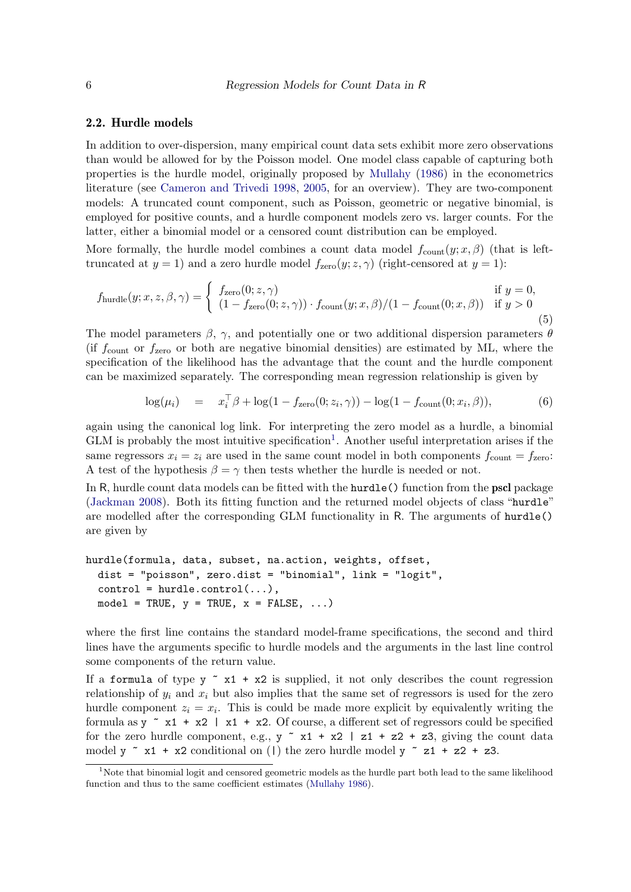#### 2.2. Hurdle models

In addition to over-dispersion, many empirical count data sets exhibit more zero observations than would be allowed for by the Poisson model. One model class capable of capturing both properties is the hurdle model, originally proposed by [Mullahy](#page-19-1) [\(1986\)](#page-19-1) in the econometrics literature (see [Cameron and Trivedi](#page-19-3) [1998,](#page-19-3) [2005,](#page-19-4) for an overview). They are two-component models: A truncated count component, such as Poisson, geometric or negative binomial, is employed for positive counts, and a hurdle component models zero vs. larger counts. For the latter, either a binomial model or a censored count distribution can be employed.

More formally, the hurdle model combines a count data model  $f_{\text{count}}(y; x, \beta)$  (that is lefttruncated at  $y = 1$ ) and a zero hurdle model  $f_{\text{zero}}(y; z, \gamma)$  (right-censored at  $y = 1$ ):

$$
f_{\text{hurdle}}(y; x, z, \beta, \gamma) = \begin{cases} f_{\text{zero}}(0; z, \gamma) & \text{if } y = 0, \\ (1 - f_{\text{zero}}(0; z, \gamma)) \cdot f_{\text{count}}(y; x, \beta) / (1 - f_{\text{count}}(0; x, \beta)) & \text{if } y > 0 \end{cases}
$$
(5)

The model parameters  $\beta$ ,  $\gamma$ , and potentially one or two additional dispersion parameters  $\theta$ (if  $f_{\text{count}}$  or  $f_{\text{zero}}$  or both are negative binomial densities) are estimated by ML, where the specification of the likelihood has the advantage that the count and the hurdle component can be maximized separately. The corresponding mean regression relationship is given by

<span id="page-5-1"></span>
$$
\log(\mu_i) = x_i^{\top} \beta + \log(1 - f_{\text{zero}}(0; z_i, \gamma)) - \log(1 - f_{\text{count}}(0; x_i, \beta)), \tag{6}
$$

again using the canonical log link. For interpreting the zero model as a hurdle, a binomial  $GLM$  is probably the most intuitive specification<sup>[1](#page-5-0)</sup>. Another useful interpretation arises if the same regressors  $x_i = z_i$  are used in the same count model in both components  $f_{\text{count}} = f_{\text{zero}}$ : A test of the hypothesis  $\beta = \gamma$  then tests whether the hurdle is needed or not.

In R, hurdle count data models can be fitted with the hurdle() function from the **pscl** package [\(Jackman](#page-19-6) [2008\)](#page-19-6). Both its fitting function and the returned model objects of class "hurdle" are modelled after the corresponding GLM functionality in R. The arguments of hurdle() are given by

```
hurdle(formula, data, subset, na.action, weights, offset,
  dist = "poisson", zero.dist = "binomial", link = "logit",
  control = \text{hurdle.control}(...),model = TRUE, y = TRUE, x = FALSE, ...)
```
where the first line contains the standard model-frame specifications, the second and third lines have the arguments specific to hurdle models and the arguments in the last line control some components of the return value.

If a formula of type  $y \uparrow x1 + x2$  is supplied, it not only describes the count regression relationship of  $y_i$  and  $x_i$  but also implies that the same set of regressors is used for the zero hurdle component  $z_i = x_i$ . This is could be made more explicit by equivalently writing the formula as  $y \sim x1 + x2$  |  $x1 + x2$ . Of course, a different set of regressors could be specified for the zero hurdle component, e.g.,  $y \tilde{=} x1 + x2 + z2 + z3$ , giving the count data model y  $\tilde{r}$  x1 + x2 conditional on (1) the zero hurdle model y  $\tilde{r}$  z1 + z2 + z3.

<span id="page-5-0"></span><sup>&</sup>lt;sup>1</sup>Note that binomial logit and censored geometric models as the hurdle part both lead to the same likelihood function and thus to the same coefficient estimates [\(Mullahy](#page-19-1) [1986\)](#page-19-1).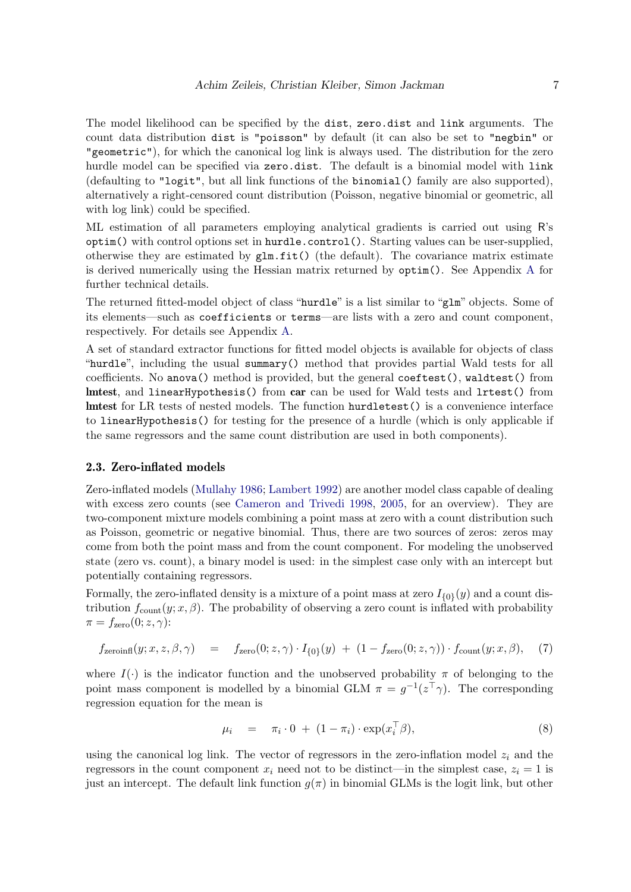The model likelihood can be specified by the dist, zero.dist and link arguments. The count data distribution dist is "poisson" by default (it can also be set to "negbin" or "geometric"), for which the canonical log link is always used. The distribution for the zero hurdle model can be specified via zero.dist. The default is a binomial model with link (defaulting to "logit", but all link functions of the binomial() family are also supported), alternatively a right-censored count distribution (Poisson, negative binomial or geometric, all with  $log$  link) could be specified.

ML estimation of all parameters employing analytical gradients is carried out using R's optim() with control options set in hurdle.control(). Starting values can be user-supplied, otherwise they are estimated by  $glm.fit()$  (the default). The covariance matrix estimate is derived numerically using the Hessian matrix returned by optim(). See Appendix [A](#page-21-0) for further technical details.

The returned fitted-model object of class "hurdle" is a list similar to "glm" objects. Some of its elements—such as coefficients or terms—are lists with a zero and count component, respectively. For details see Appendix [A.](#page-21-0)

A set of standard extractor functions for fitted model objects is available for objects of class "hurdle", including the usual summary() method that provides partial Wald tests for all coefficients. No anova() method is provided, but the general coeftest(), waldtest() from lmtest, and linearHypothesis() from car can be used for Wald tests and lrtest() from lmtest for LR tests of nested models. The function hurdletest() is a convenience interface to linearHypothesis() for testing for the presence of a hurdle (which is only applicable if the same regressors and the same count distribution are used in both components).

#### 2.3. Zero-inflated models

Zero-inflated models [\(Mullahy](#page-19-1) [1986;](#page-19-1) [Lambert](#page-19-2) [1992\)](#page-19-2) are another model class capable of dealing with excess zero counts (see [Cameron and Trivedi](#page-19-3) [1998,](#page-19-3) [2005,](#page-19-4) for an overview). They are two-component mixture models combining a point mass at zero with a count distribution such as Poisson, geometric or negative binomial. Thus, there are two sources of zeros: zeros may come from both the point mass and from the count component. For modeling the unobserved state (zero vs. count), a binary model is used: in the simplest case only with an intercept but potentially containing regressors.

Formally, the zero-inflated density is a mixture of a point mass at zero  $I_{\{0\}}(y)$  and a count distribution  $f_{\text{count}}(y; x, \beta)$ . The probability of observing a zero count is inflated with probability  $\pi = f_{\text{zero}}(0; z, \gamma)$ :

$$
f_{\text{zeroinfl}}(y; x, z, \beta, \gamma) = f_{\text{zero}}(0; z, \gamma) \cdot I_{\{0\}}(y) + (1 - f_{\text{zero}}(0; z, \gamma)) \cdot f_{\text{count}}(y; x, \beta), \tag{7}
$$

where  $I(.)$  is the indicator function and the unobserved probability  $\pi$  of belonging to the point mass component is modelled by a binomial GLM  $\pi = g^{-1}(z^{\top}\gamma)$ . The corresponding regression equation for the mean is

<span id="page-6-0"></span>
$$
\mu_i = \pi_i \cdot 0 + (1 - \pi_i) \cdot \exp(x_i^{\top} \beta), \tag{8}
$$

using the canonical log link. The vector of regressors in the zero-inflation model  $z_i$  and the regressors in the count component  $x_i$  need not to be distinct—in the simplest case,  $z_i = 1$  is just an intercept. The default link function  $q(\pi)$  in binomial GLMs is the logit link, but other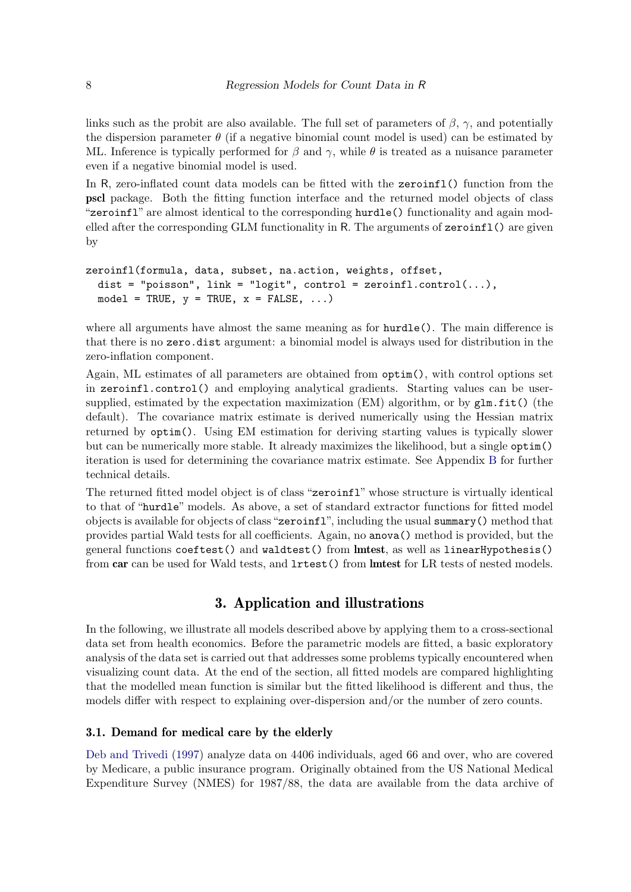links such as the probit are also available. The full set of parameters of  $\beta$ ,  $\gamma$ , and potentially the dispersion parameter  $\theta$  (if a negative binomial count model is used) can be estimated by ML. Inference is typically performed for  $\beta$  and  $\gamma$ , while  $\theta$  is treated as a nuisance parameter even if a negative binomial model is used.

In R, zero-inflated count data models can be fitted with the zeroinfl() function from the pscl package. Both the fitting function interface and the returned model objects of class "zeroinfl" are almost identical to the corresponding hurdle() functionality and again modelled after the corresponding GLM functionality in R. The arguments of  $\mathsf{zeroinfl}(\mathcal{C})$  are given by

```
zeroinfl(formula, data, subset, na.action, weights, offset,
 dist = "poisson", link = "logit", control = zeroinfl.control(...),
 model = TRUE, y = TRUE, x = FALSE, ...)
```
where all arguments have almost the same meaning as for **hurdle**(). The main difference is that there is no zero.dist argument: a binomial model is always used for distribution in the zero-inflation component.

Again, ML estimates of all parameters are obtained from optim(), with control options set in zeroinfl.control() and employing analytical gradients. Starting values can be usersupplied, estimated by the expectation maximization (EM) algorithm, or by  $g\ln f$  it () (the default). The covariance matrix estimate is derived numerically using the Hessian matrix returned by optim(). Using EM estimation for deriving starting values is typically slower but can be numerically more stable. It already maximizes the likelihood, but a single optim() iteration is used for determining the covariance matrix estimate. See Appendix [B](#page-21-1) for further technical details.

The returned fitted model object is of class "zeroinfl" whose structure is virtually identical to that of "hurdle" models. As above, a set of standard extractor functions for fitted model objects is available for objects of class "zeroinfl", including the usual summary() method that provides partial Wald tests for all coefficients. Again, no anova() method is provided, but the general functions coeftest() and waldtest() from lmtest, as well as linearHypothesis() from car can be used for Wald tests, and lrtest() from lmtest for LR tests of nested models.

## 3. Application and illustrations

<span id="page-7-0"></span>In the following, we illustrate all models described above by applying them to a cross-sectional data set from health economics. Before the parametric models are fitted, a basic exploratory analysis of the data set is carried out that addresses some problems typically encountered when visualizing count data. At the end of the section, all fitted models are compared highlighting that the modelled mean function is similar but the fitted likelihood is different and thus, the models differ with respect to explaining over-dispersion and/or the number of zero counts.

### 3.1. Demand for medical care by the elderly

[Deb and Trivedi](#page-19-12) [\(1997\)](#page-19-12) analyze data on 4406 individuals, aged 66 and over, who are covered by Medicare, a public insurance program. Originally obtained from the US National Medical Expenditure Survey (NMES) for 1987/88, the data are available from the data archive of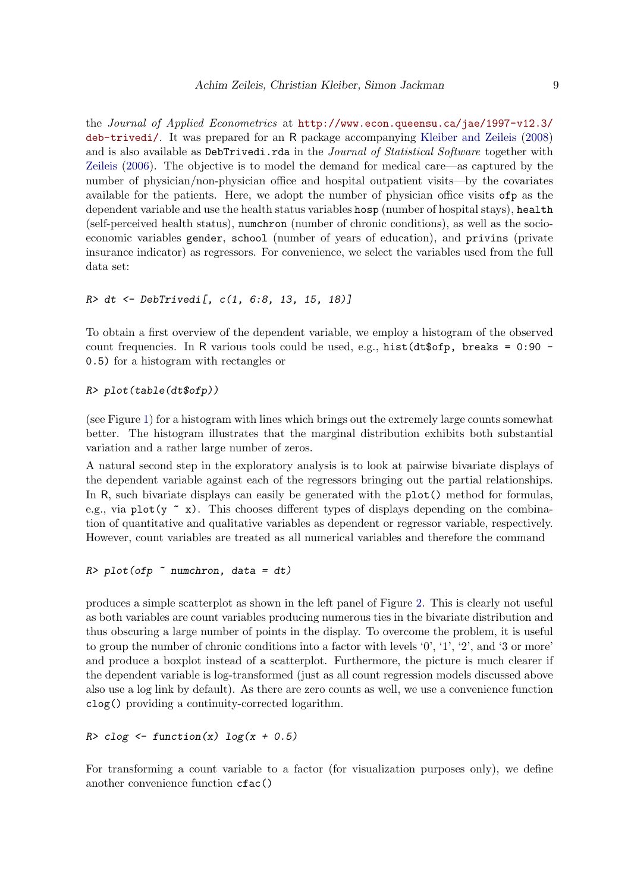the Journal of Applied Econometrics at [http://www.econ.queensu.ca/jae/1997-v12.3/](http://www.econ.queensu.ca/jae/1997-v12.3/deb-trivedi/) [deb-trivedi/](http://www.econ.queensu.ca/jae/1997-v12.3/deb-trivedi/). It was prepared for an R package accompanying [Kleiber and Zeileis](#page-19-7) [\(2008\)](#page-19-7) and is also available as DebTrivedi.rda in the *Journal of Statistical Software* together with [Zeileis](#page-20-9) [\(2006\)](#page-20-9). The objective is to model the demand for medical care—as captured by the number of physician/non-physician office and hospital outpatient visits—by the covariates available for the patients. Here, we adopt the number of physician office visits ofp as the dependent variable and use the health status variables hosp (number of hospital stays), health (self-perceived health status), numchron (number of chronic conditions), as well as the socioeconomic variables gender, school (number of years of education), and privins (private insurance indicator) as regressors. For convenience, we select the variables used from the full data set:

#### R> dt <- DebTrivedi[, c(1, 6:8, 13, 15, 18)]

To obtain a first overview of the dependent variable, we employ a histogram of the observed count frequencies. In R various tools could be used, e.g., hist  $(\text{dt$ofp}, \text{breaks} = 0.90$  -0.5) for a histogram with rectangles or

#### R> plot(table(dt\$ofp))

(see Figure [1\)](#page-9-0) for a histogram with lines which brings out the extremely large counts somewhat better. The histogram illustrates that the marginal distribution exhibits both substantial variation and a rather large number of zeros.

A natural second step in the exploratory analysis is to look at pairwise bivariate displays of the dependent variable against each of the regressors bringing out the partial relationships. In R, such bivariate displays can easily be generated with the plot() method for formulas, e.g., via plot(y  $\sim$  x). This chooses different types of displays depending on the combination of quantitative and qualitative variables as dependent or regressor variable, respectively. However, count variables are treated as all numerical variables and therefore the command

```
R> plot(ofp \tilde{}} numchron, data = dt)
```
produces a simple scatterplot as shown in the left panel of Figure [2.](#page-9-1) This is clearly not useful as both variables are count variables producing numerous ties in the bivariate distribution and thus obscuring a large number of points in the display. To overcome the problem, it is useful to group the number of chronic conditions into a factor with levels '0', '1', '2', and '3 or more' and produce a boxplot instead of a scatterplot. Furthermore, the picture is much clearer if the dependent variable is log-transformed (just as all count regression models discussed above also use a log link by default). As there are zero counts as well, we use a convenience function clog() providing a continuity-corrected logarithm.

```
R > c \log \leftarrow function(x) \log(x + 0.5)
```
For transforming a count variable to a factor (for visualization purposes only), we define another convenience function cfac()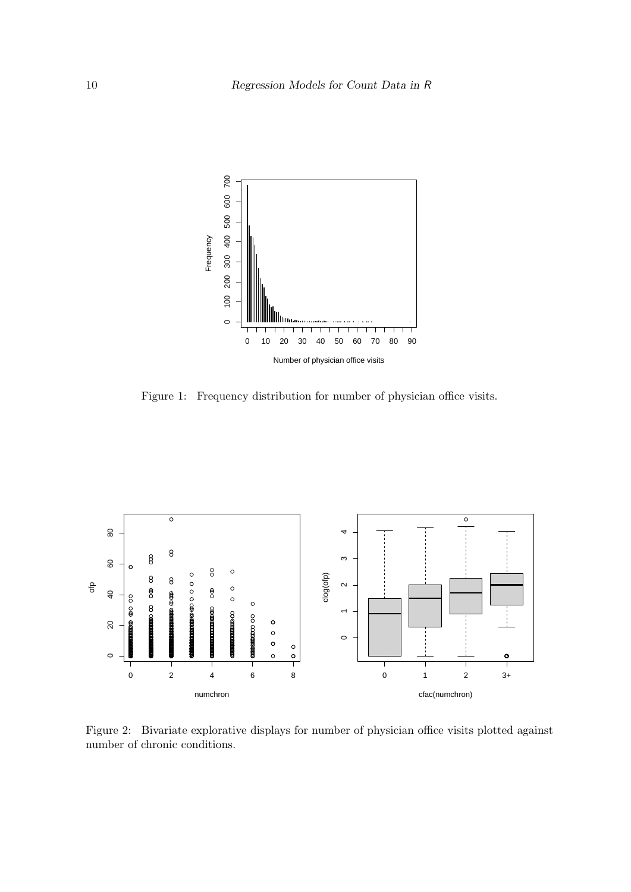

<span id="page-9-0"></span>Figure 1: Frequency distribution for number of physician office visits.



<span id="page-9-1"></span>Figure 2: Bivariate explorative displays for number of physician office visits plotted against number of chronic conditions.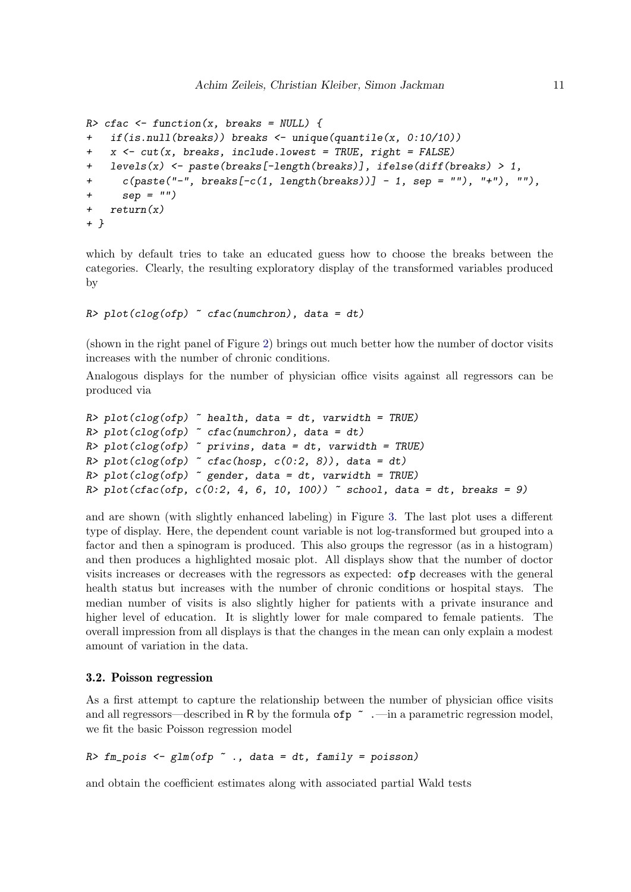```
R> cfac <- function(x, breaks = NULL) {
+ if(is.null(breaks)) breaks <- unique(quantile(x, 0:10/10))
+ x <- cut(x, breaks, include.lowest = TRUE, right = FALSE)
+ levels(x) <- paste(breaks[-length(breaks)], ifelse(diff(breaks) > 1,
+ c(paste("-", breaks[-c(1, length(breaks))] - 1, sep = ""), "+"), ""),
+ sep = "")+ return(x)
+ }
```
which by default tries to take an educated guess how to choose the breaks between the categories. Clearly, the resulting exploratory display of the transformed variables produced by

```
R> plot(clog(ofp) \tilde{c} cfac(numchron), data = dt)
```
(shown in the right panel of Figure [2\)](#page-9-1) brings out much better how the number of doctor visits increases with the number of chronic conditions.

Analogous displays for the number of physician office visits against all regressors can be produced via

```
R> plot(clog(ofp) \tilde{ } health, data = dt, varwidth = TRUE)
R> plot(clog(ofp) \tilde{c} cfac(numchron), data = dt)
R> plot(clog(ofp) \tilde{ } privins, data = dt, varwidth = TRUE)
R> plot(clog(ofp) ~ cfac(hosp, c(0:2, 8)), data = dt)
R> plot(clog(ofp) ~ gender, data = dt, varwidth = TRUE)
R> plot(cfac(ofp, c(0:2, 4, 6, 10, 100)) \tilde{c} school, data = dt, breaks = 9)
```
and are shown (with slightly enhanced labeling) in Figure [3.](#page-11-0) The last plot uses a different type of display. Here, the dependent count variable is not log-transformed but grouped into a factor and then a spinogram is produced. This also groups the regressor (as in a histogram) and then produces a highlighted mosaic plot. All displays show that the number of doctor visits increases or decreases with the regressors as expected: ofp decreases with the general health status but increases with the number of chronic conditions or hospital stays. The median number of visits is also slightly higher for patients with a private insurance and higher level of education. It is slightly lower for male compared to female patients. The overall impression from all displays is that the changes in the mean can only explain a modest amount of variation in the data.

#### 3.2. Poisson regression

As a first attempt to capture the relationship between the number of physician office visits and all regressors—described in R by the formula of  $p \sim$ .—in a parametric regression model, we fit the basic Poisson regression model

```
R> fm_pois <- glm(ofp \tilde{}} ., data = dt, family = poisson)
```
and obtain the coefficient estimates along with associated partial Wald tests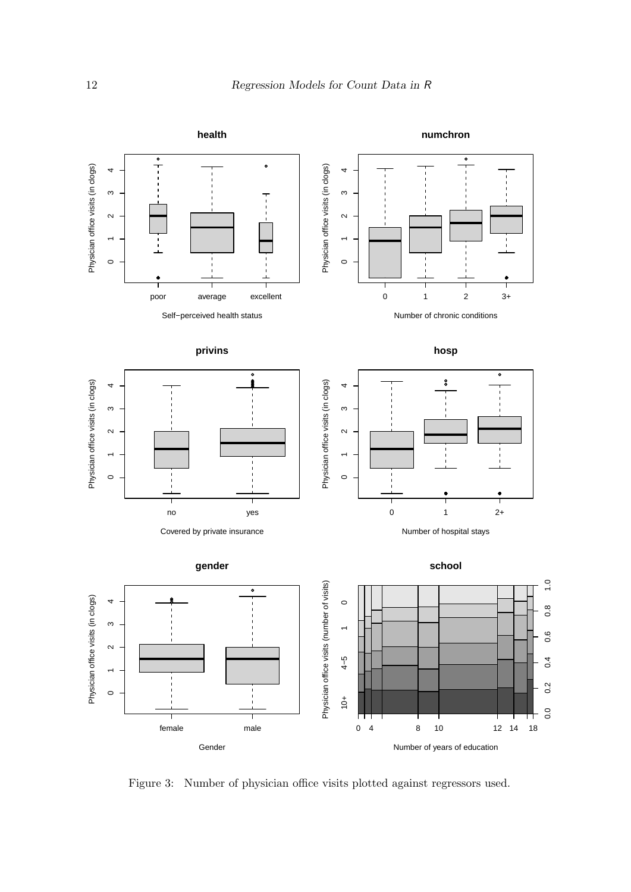

<span id="page-11-0"></span>Figure 3: Number of physician office visits plotted against regressors used.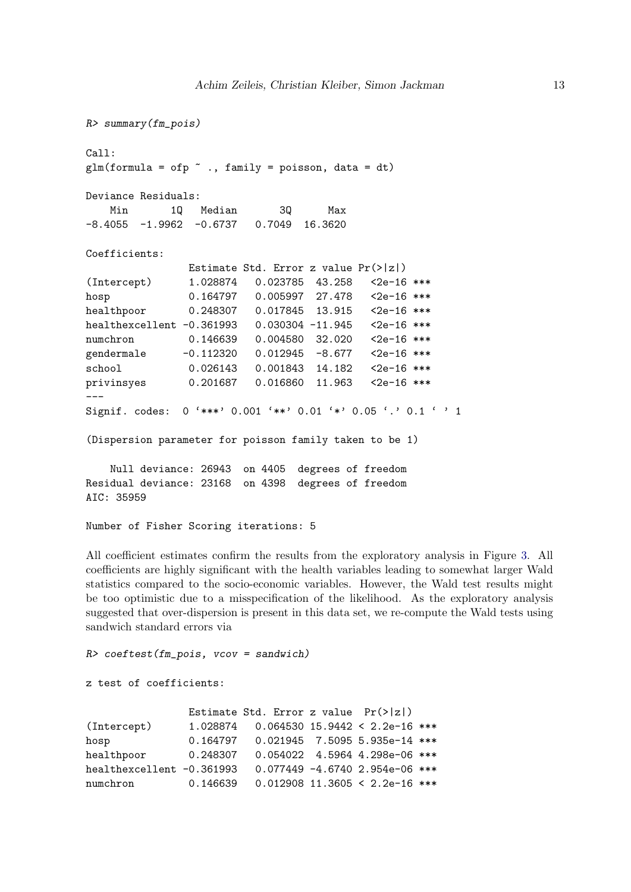```
R> summary(fm_pois)
Call:
glm(formula = ofp " . , family = poisson, data = dt)Deviance Residuals:
   Min 1Q Median 3Q Max
-8.4055 -1.9962 -0.6737 0.7049 16.3620
Coefficients:
              Estimate Std. Error z value Pr(>|z|)
(Intercept) 1.028874 0.023785 43.258 <2e-16 ***
hosp 0.164797 0.005997 27.478 <2e-16 ***
healthpoor 0.248307 0.017845 13.915 <2e-16 ***
healthexcellent -0.361993  0.030304 -11.945  <2e-16 ***
numchron 0.146639 0.004580 32.020 <2e-16 ***
gendermale -0.112320 0.012945 -8.677 <2e-16 ***
school 0.026143 0.001843 14.182 <2e-16 ***
privinsyes 0.201687 0.016860 11.963 <2e-16 ***
---
Signif. codes: 0 '***' 0.001 '**' 0.01 '*' 0.05 '.' 0.1 ' ' 1
(Dispersion parameter for poisson family taken to be 1)
   Null deviance: 26943 on 4405 degrees of freedom
```
Residual deviance: 23168 on 4398 degrees of freedom AIC: 35959

```
Number of Fisher Scoring iterations: 5
```
All coefficient estimates confirm the results from the exploratory analysis in Figure [3.](#page-11-0) All coefficients are highly significant with the health variables leading to somewhat larger Wald statistics compared to the socio-economic variables. However, the Wald test results might be too optimistic due to a misspecification of the likelihood. As the exploratory analysis suggested that over-dispersion is present in this data set, we re-compute the Wald tests using sandwich standard errors via

```
R> coeftest(fm_pois, vcov = sandwich)
```

```
z test of coefficients:
```

|                           |          | Estimate Std. Error z value $Pr(> z )$    |                                  |  |
|---------------------------|----------|-------------------------------------------|----------------------------------|--|
| (Intercept)               |          | $1.028874$ 0.064530 15.9442 < 2.2e-16 *** |                                  |  |
| hosp                      |          | $0.164797$ 0.021945 7.5095 5.935e-14 ***  |                                  |  |
| healthpoor                |          | $0.248307$ 0.054022 4.5964 4.298e-06 ***  |                                  |  |
| healthexcellent -0.361993 |          |                                           | $0.077449 -4.6740 2.954e-06$ *** |  |
| numchron                  | 0.146639 | $0.012908$ 11.3605 < 2.2e-16 ***          |                                  |  |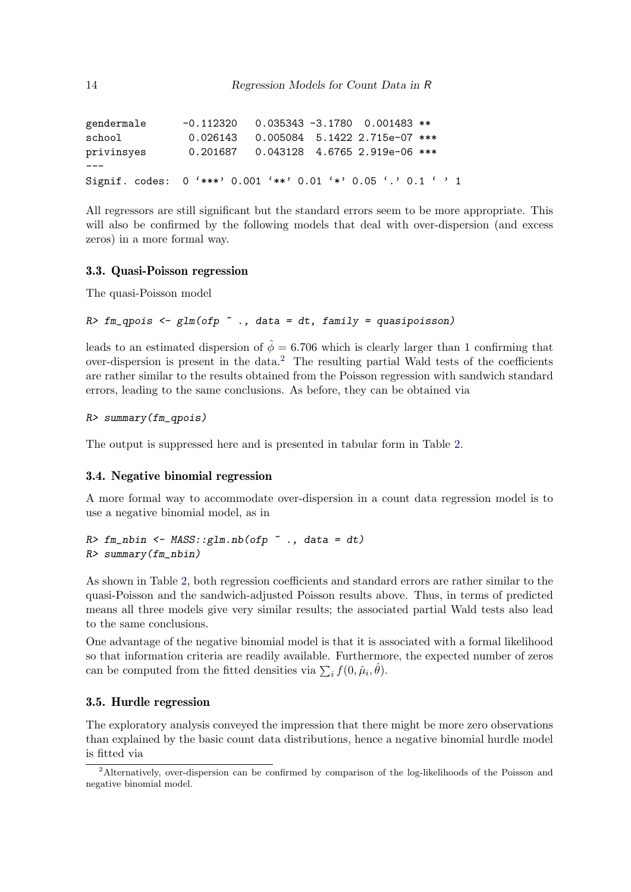| gendermale                                                    | $-0.112320$ 0.035343 -3.1780  0.001483 ** |  |  |
|---------------------------------------------------------------|-------------------------------------------|--|--|
| school                                                        | 0.026143  0.005084  5.1422  2.715e-07 *** |  |  |
| privinsyes                                                    | 0.201687  0.043128  4.6765  2.919e-06 *** |  |  |
|                                                               |                                           |  |  |
| Signif. codes: 0 '***' 0.001 '**' 0.01 '*' 0.05 '.' 0.1 ' ' 1 |                                           |  |  |

All regressors are still significant but the standard errors seem to be more appropriate. This will also be confirmed by the following models that deal with over-dispersion (and excess zeros) in a more formal way.

#### 3.3. Quasi-Poisson regression

The quasi-Poisson model

### $R$ > fm\_qpois <- glm(ofp  $\tilde{ }$  ., data = dt, family = quasipoisson)

leads to an estimated dispersion of  $\hat{\phi} = 6.706$  which is clearly larger than 1 confirming that over-dispersion is present in the data.<sup>[2](#page-13-0)</sup> The resulting partial Wald tests of the coefficients are rather similar to the results obtained from the Poisson regression with sandwich standard errors, leading to the same conclusions. As before, they can be obtained via

```
R> summary(fm_qpois)
```
The output is suppressed here and is presented in tabular form in Table [2.](#page-16-0)

#### 3.4. Negative binomial regression

A more formal way to accommodate over-dispersion in a count data regression model is to use a negative binomial model, as in

```
R> fm\_nbin < MASS::glm.nb(ofp ~ ~ ., data = dt)R> summary(fm_nbin)
```
As shown in Table [2,](#page-16-0) both regression coefficients and standard errors are rather similar to the quasi-Poisson and the sandwich-adjusted Poisson results above. Thus, in terms of predicted means all three models give very similar results; the associated partial Wald tests also lead to the same conclusions.

One advantage of the negative binomial model is that it is associated with a formal likelihood so that information criteria are readily available. Furthermore, the expected number of zeros can be computed from the fitted densities via  $\sum_i f(0, \hat{\mu}_i, \hat{\theta})$ .

### 3.5. Hurdle regression

The exploratory analysis conveyed the impression that there might be more zero observations than explained by the basic count data distributions, hence a negative binomial hurdle model is fitted via

<span id="page-13-0"></span><sup>2</sup>Alternatively, over-dispersion can be confirmed by comparison of the log-likelihoods of the Poisson and negative binomial model.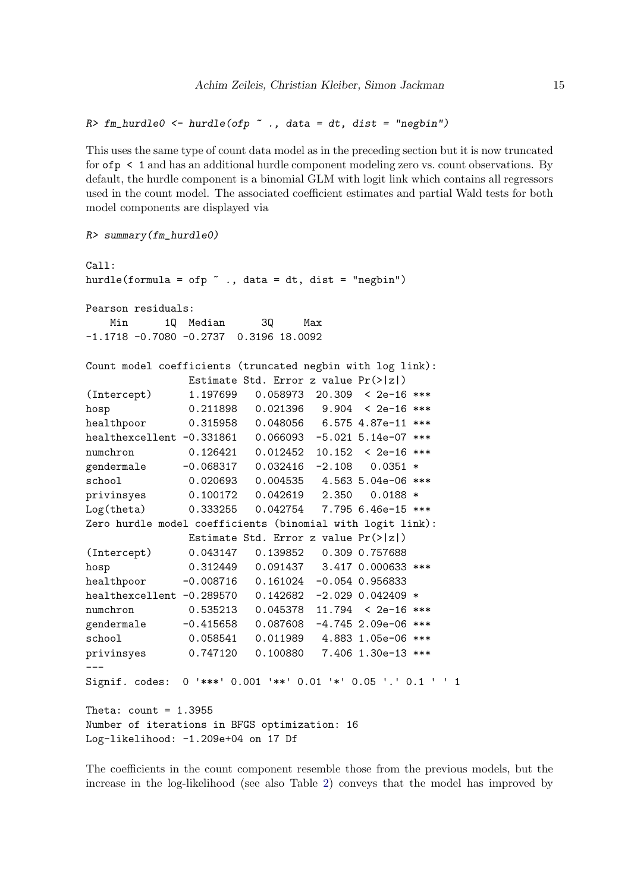```
R> fm_hurdle0 <- hurdle(ofp \tilde{ } ., data = dt, dist = "negbin")
```
This uses the same type of count data model as in the preceding section but it is now truncated for ofp < 1 and has an additional hurdle component modeling zero vs. count observations. By default, the hurdle component is a binomial GLM with logit link which contains all regressors used in the count model. The associated coefficient estimates and partial Wald tests for both model components are displayed via

```
R> summary(fm_hurdle0)
```

```
Ca11:hurdle(formula = ofp \tilde{ } ., data = dt, dist = "negbin")
Pearson residuals:
   Min 1Q Median 3Q Max
-1.1718 -0.7080 -0.2737 0.3196 18.0092
Count model coefficients (truncated negbin with log link):
               Estimate Std. Error z value Pr(>|z|)
(Intercept) 1.197699 0.058973 20.309 < 2e-16 ***
hosp 0.211898 0.021396 9.904 < 2e-16 ***
healthpoor 0.315958 0.048056 6.575 4.87e-11 ***
healthexcellent -0.331861 0.066093 -5.021 5.14e-07 ***
numchron 0.126421 0.012452 10.152 < 2e-16 ***
gendermale -0.068317 0.032416 -2.108 0.0351 *
school 0.020693 0.004535 4.563 5.04e-06 ***
privinsyes 0.100172 0.042619 2.350 0.0188 *
Log(theta) 0.333255 0.042754 7.795 6.46e-15 ***
Zero hurdle model coefficients (binomial with logit link):
              Estimate Std. Error z value Pr(>|z|)
(Intercept) 0.043147 0.139852 0.309 0.757688
hosp 0.312449 0.091437 3.417 0.000633 ***
healthpoor -0.008716 0.161024 -0.054 0.956833
healthexcellent -0.289570 0.142682 -2.029 0.042409 *
numchron 0.535213 0.045378 11.794 < 2e-16 ***
gendermale -0.415658 0.087608 -4.745 2.09e-06 ***
school 0.058541 0.011989 4.883 1.05e-06 ***
privinsyes 0.747120 0.100880 7.406 1.30e-13 ***
---
Signif. codes: 0 '***' 0.001 '**' 0.01 '*' 0.05 '.' 0.1 ' ' 1
Theta: count = 1.3955Number of iterations in BFGS optimization: 16
Log-likelihood: -1.209e+04 on 17 Df
```
The coefficients in the count component resemble those from the previous models, but the increase in the log-likelihood (see also Table [2\)](#page-16-0) conveys that the model has improved by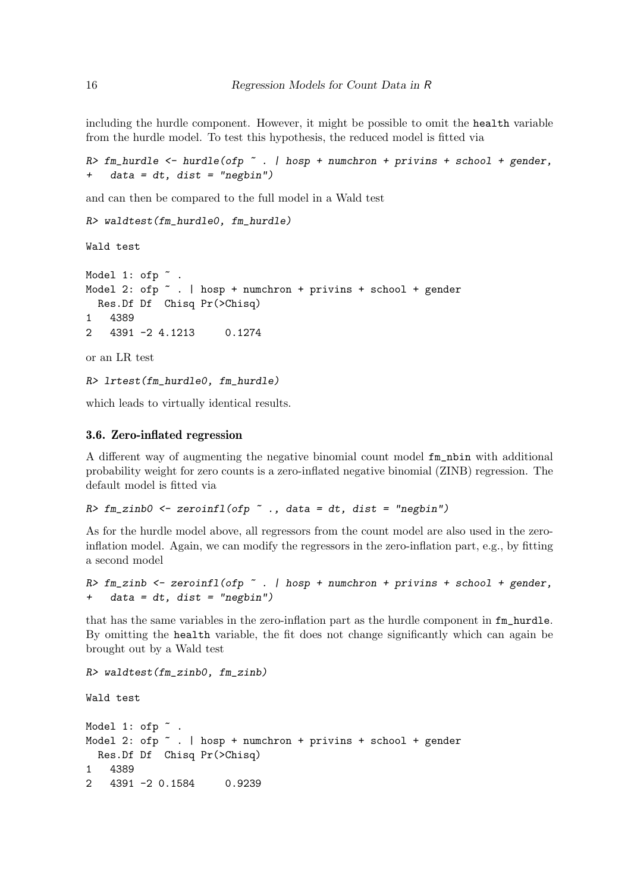including the hurdle component. However, it might be possible to omit the health variable from the hurdle model. To test this hypothesis, the reduced model is fitted via

```
R> fm_hurdle <- hurdle(ofp \tilde{ } . | hosp + numchron + privins + school + gender,
+ data = dt, dist = "negbin")
```
and can then be compared to the full model in a Wald test

```
R> waldtest(fm_hurdle0, fm_hurdle)
```
Wald test

```
Model 1: ofp \tilde{ }Model 2: ofp \tilde{ } . | hosp + numchron + privins + school + gender
  Res.Df Df Chisq Pr(>Chisq)
1 4389
2 4391 -2 4.1213 0.1274
or an LR test
```
R> lrtest(fm\_hurdle0, fm\_hurdle)

which leads to virtually identical results.

#### 3.6. Zero-inflated regression

A different way of augmenting the negative binomial count model fm\_nbin with additional probability weight for zero counts is a zero-inflated negative binomial (ZINB) regression. The default model is fitted via

 $R$ > fm\_zinb0 <- zeroinfl(ofp  $\tilde{ }$  ., data = dt, dist = "negbin")

As for the hurdle model above, all regressors from the count model are also used in the zeroinflation model. Again, we can modify the regressors in the zero-inflation part, e.g., by fitting a second model

```
R> fm_zinb <- zeroinfl(ofp \tilde{ } . | hosp + numchron + privins + school + gender,
+ data = dt, dist = "negbin")
```
that has the same variables in the zero-inflation part as the hurdle component in fm\_hurdle. By omitting the health variable, the fit does not change significantly which can again be brought out by a Wald test

```
R> waldtest(fm_zinb0, fm_zinb)
```
Wald test

```
Model 1: ofp \tilde{ }.
Model 2: ofp \tilde{ } . | hosp + numchron + privins + school + gender
  Res.Df Df Chisq Pr(>Chisq)
1 4389
2 4391 -2 0.1584 0.9239
```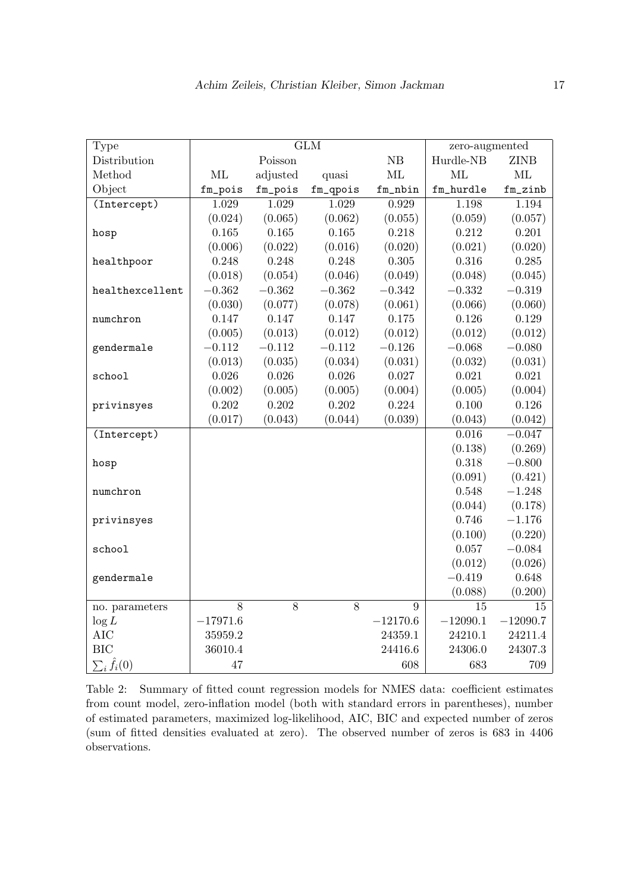| Type                  |            |          | <b>GLM</b> |                  | zero-augmented |             |
|-----------------------|------------|----------|------------|------------------|----------------|-------------|
| Distribution          |            | Poisson  |            | NB               | Hurdle-NB      | <b>ZINB</b> |
| Method                | ML         | adjusted | quasi      | ML               | ML             | ML          |
| Object                | fm_pois    | fm_pois  | fm_qpois   | $\verb fm_nbin $ | fm_hurdle      | $fm\_zinb$  |
| (Intercept)           | 1.029      | 1.029    | 1.029      | 0.929            | 1.198          | 1.194       |
|                       | (0.024)    | (0.065)  | (0.062)    | (0.055)          | (0.059)        | (0.057)     |
| hosp                  | 0.165      | 0.165    | 0.165      | 0.218            | 0.212          | 0.201       |
|                       | (0.006)    | (0.022)  | (0.016)    | (0.020)          | (0.021)        | (0.020)     |
| healthpoor            | 0.248      | 0.248    | 0.248      | 0.305            | 0.316          | 0.285       |
|                       | (0.018)    | (0.054)  | (0.046)    | (0.049)          | (0.048)        | (0.045)     |
| healthexcellent       | $-0.362$   | $-0.362$ | $-0.362$   | $-0.342$         | $-0.332$       | $-0.319$    |
|                       | (0.030)    | (0.077)  | (0.078)    | (0.061)          | (0.066)        | (0.060)     |
| numchron              | 0.147      | 0.147    | 0.147      | 0.175            | 0.126          | 0.129       |
|                       | (0.005)    | (0.013)  | (0.012)    | (0.012)          | (0.012)        | (0.012)     |
| gendermale            | $-0.112$   | $-0.112$ | $-0.112$   | $-0.126$         | $-0.068$       | $-0.080$    |
|                       | (0.013)    | (0.035)  | (0.034)    | (0.031)          | (0.032)        | (0.031)     |
| school                | 0.026      | 0.026    | 0.026      | 0.027            | 0.021          | 0.021       |
|                       | (0.002)    | (0.005)  | (0.005)    | (0.004)          | (0.005)        | (0.004)     |
| privinsyes            | 0.202      | 0.202    | 0.202      | 0.224            | 0.100          | 0.126       |
|                       | (0.017)    | (0.043)  | (0.044)    | (0.039)          | (0.043)        | (0.042)     |
| (Intercept)           |            |          |            |                  | 0.016          | $-0.047$    |
|                       |            |          |            |                  | (0.138)        | (0.269)     |
| hosp                  |            |          |            |                  | 0.318          | $-0.800$    |
|                       |            |          |            |                  | (0.091)        | (0.421)     |
| numchron              |            |          |            |                  | 0.548          | $-1.248$    |
|                       |            |          |            |                  | (0.044)        | (0.178)     |
| privinsyes            |            |          |            |                  | 0.746          | $-1.176$    |
|                       |            |          |            |                  | (0.100)        | (0.220)     |
| school                |            |          |            |                  | 0.057          | $-0.084$    |
|                       |            |          |            |                  | (0.012)        | (0.026)     |
| gendermale            |            |          |            |                  | $-0.419$       | 0.648       |
|                       |            |          |            |                  | (0.088)        | (0.200)     |
| no. parameters        | 8          | $8\,$    | 8          | $\boldsymbol{9}$ | 15             | 15          |
| $\log L$              | $-17971.6$ |          |            | $-12170.6$       | $-12090.1$     | $-12090.7$  |
| <b>AIC</b>            | 35959.2    |          |            | 24359.1          | 24210.1        | 24211.4     |
| <b>BIC</b>            | 36010.4    |          |            | 24416.6          | 24306.0        | 24307.3     |
| $\sum_i \hat{f}_i(0)$ | 47         |          |            | 608              | 683            | 709         |

<span id="page-16-0"></span>Table 2: Summary of fitted count regression models for NMES data: coefficient estimates from count model, zero-inflation model (both with standard errors in parentheses), number of estimated parameters, maximized log-likelihood, AIC, BIC and expected number of zeros (sum of fitted densities evaluated at zero). The observed number of zeros is 683 in 4406 observations.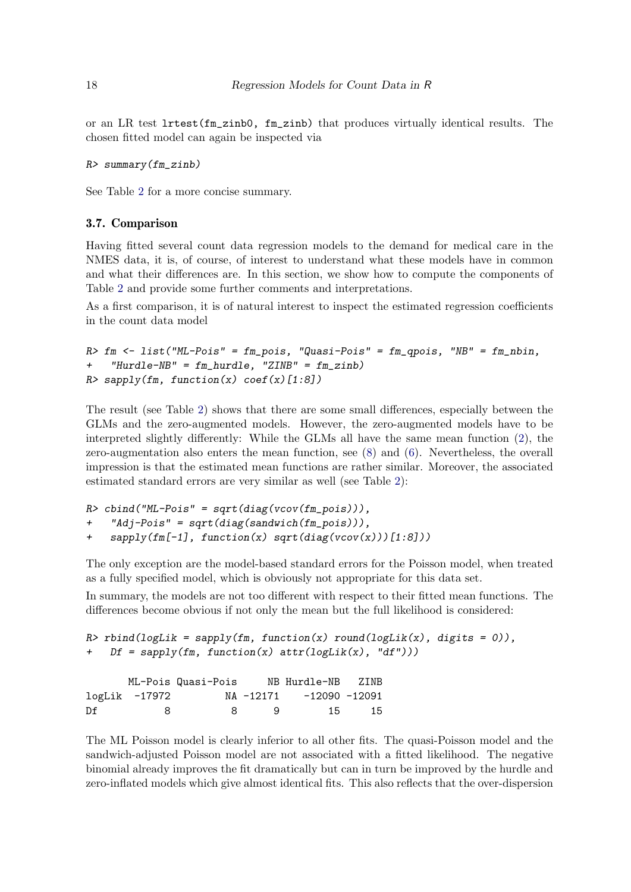or an LR test lrtest(fm\_zinb0, fm\_zinb) that produces virtually identical results. The chosen fitted model can again be inspected via

```
R> summary(fm_zinb)
```
See Table [2](#page-16-0) for a more concise summary.

### 3.7. Comparison

Having fitted several count data regression models to the demand for medical care in the NMES data, it is, of course, of interest to understand what these models have in common and what their differences are. In this section, we show how to compute the components of Table [2](#page-16-0) and provide some further comments and interpretations.

As a first comparison, it is of natural interest to inspect the estimated regression coefficients in the count data model

```
R> fm <- list("ML-Pois" = fm_pois, "Quasi-Pois" = fm_qpois, "NB" = fm_nbin,
    "Hurdle-NB" = fm\_hurdle, "ZINB" = fm\_zinh)
R> sapply(fm, function(x) coef(x)[1:8])
```
The result (see Table [2\)](#page-16-0) shows that there are some small differences, especially between the GLMs and the zero-augmented models. However, the zero-augmented models have to be interpreted slightly differently: While the GLMs all have the same mean function [\(2\)](#page-2-1), the zero-augmentation also enters the mean function, see [\(8\)](#page-6-0) and [\(6\)](#page-5-1). Nevertheless, the overall impression is that the estimated mean functions are rather similar. Moreover, the associated estimated standard errors are very similar as well (see Table [2\)](#page-16-0):

```
R> cbind("ML-Pois" = sqrt(diag(vcov(fm_pois))),
+ "Adj-Pois" = sqrt(diag(sandwich(fm_pois))),
+ sapply(fm[-1], function(x) sqrt(diag(vcov(x)))[1:8]))
```
The only exception are the model-based standard errors for the Poisson model, when treated as a fully specified model, which is obviously not appropriate for this data set.

In summary, the models are not too different with respect to their fitted mean functions. The differences become obvious if not only the mean but the full likelihood is considered:

```
R> rbind(logLik = sapply(fm, function(x) round(logLik(x), digits = 0)),
  Df = sapply(fm, function(x) attr(logLik(x), "df")))
```

|    |               | ML-Pois Quasi-Pois |     | NB Hurdle-NB ZINB       |      |
|----|---------------|--------------------|-----|-------------------------|------|
|    | logLik -17972 |                    |     | NA -12171 -12090 -12091 |      |
| Df | -8            | 8 <sup>2</sup>     | - 9 | 15                      | - 15 |

The ML Poisson model is clearly inferior to all other fits. The quasi-Poisson model and the sandwich-adjusted Poisson model are not associated with a fitted likelihood. The negative binomial already improves the fit dramatically but can in turn be improved by the hurdle and zero-inflated models which give almost identical fits. This also reflects that the over-dispersion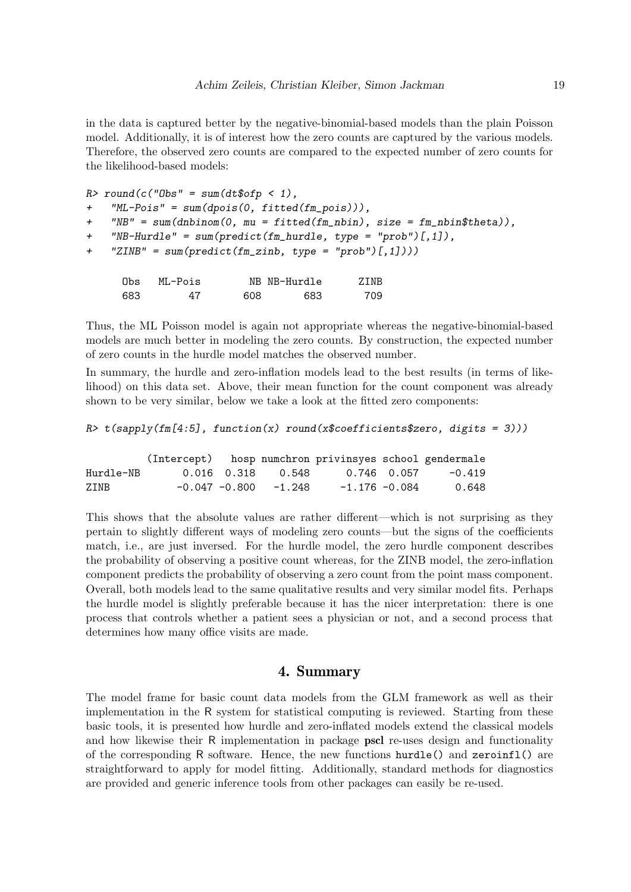in the data is captured better by the negative-binomial-based models than the plain Poisson model. Additionally, it is of interest how the zero counts are captured by the various models. Therefore, the observed zero counts are compared to the expected number of zero counts for the likelihood-based models:

```
R> round(c("Obs" = sum(dt\$ofp < 1),
+ "ML-Pois" = sum(dpois(0, fitted(fm_pois))),
+ WBF = sum(dnbinom(0, mu = fitted(fm_nbin), size = fm_nbin4theta)).+ "NB-Hurdle" = sum(predict(fm_hurdle, type = "prob")[,1]),
+ "ZINB" = sum(predict(fm_zinb, type = "prob")[,1])))
     Obs ML-Pois NB NB-Hurdle ZINB
     683 47 608 683 709
```
Thus, the ML Poisson model is again not appropriate whereas the negative-binomial-based models are much better in modeling the zero counts. By construction, the expected number of zero counts in the hurdle model matches the observed number.

In summary, the hurdle and zero-inflation models lead to the best results (in terms of likelihood) on this data set. Above, their mean function for the count component was already shown to be very similar, below we take a look at the fitted zero components:

```
R> t(sapply(fm[4:5], function(x) round(x$coefficients$zero, digits = 3)))
```

|           | (Intercept) hosp numchron privinsyes school gendermale |                          |                  |             |        |
|-----------|--------------------------------------------------------|--------------------------|------------------|-------------|--------|
| Hurdle-NB |                                                        | 0.016 0.318 0.548        |                  | 0.746 0.057 | -0.419 |
| ZINB      |                                                        | $-0.047 - 0.800 - 1.248$ | $-1.176 - 0.084$ |             | 0.648  |

This shows that the absolute values are rather different—which is not surprising as they pertain to slightly different ways of modeling zero counts—but the signs of the coefficients match, i.e., are just inversed. For the hurdle model, the zero hurdle component describes the probability of observing a positive count whereas, for the ZINB model, the zero-inflation component predicts the probability of observing a zero count from the point mass component. Overall, both models lead to the same qualitative results and very similar model fits. Perhaps the hurdle model is slightly preferable because it has the nicer interpretation: there is one process that controls whether a patient sees a physician or not, and a second process that determines how many office visits are made.

### 4. Summary

<span id="page-18-0"></span>The model frame for basic count data models from the GLM framework as well as their implementation in the R system for statistical computing is reviewed. Starting from these basic tools, it is presented how hurdle and zero-inflated models extend the classical models and how likewise their R implementation in package pscl re-uses design and functionality of the corresponding R software. Hence, the new functions hurdle() and zeroinfl() are straightforward to apply for model fitting. Additionally, standard methods for diagnostics are provided and generic inference tools from other packages can easily be re-used.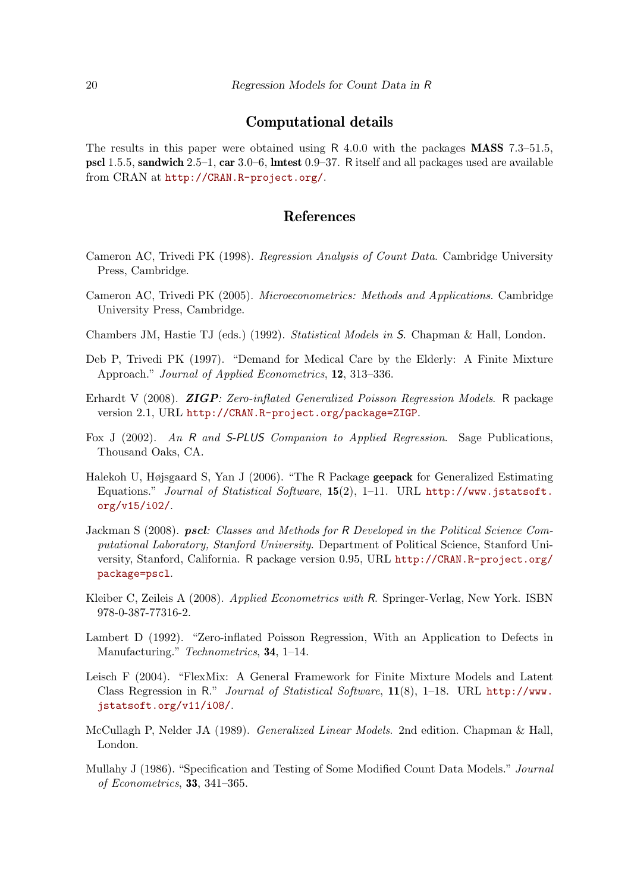### Computational details

The results in this paper were obtained using R  $4.0.0$  with the packages **MASS** 7.3–51.5, pscl 1.5.5, sandwich 2.5–1, car 3.0–6, lmtest 0.9–37. R itself and all packages used are available from CRAN at <http://CRAN.R-project.org/>.

### References

- <span id="page-19-3"></span>Cameron AC, Trivedi PK (1998). Regression Analysis of Count Data. Cambridge University Press, Cambridge.
- <span id="page-19-4"></span>Cameron AC, Trivedi PK (2005). Microeconometrics: Methods and Applications. Cambridge University Press, Cambridge.
- <span id="page-19-5"></span>Chambers JM, Hastie TJ (eds.) (1992). Statistical Models in S. Chapman & Hall, London.
- <span id="page-19-12"></span>Deb P, Trivedi PK (1997). "Demand for Medical Care by the Elderly: A Finite Mixture Approach." Journal of Applied Econometrics, 12, 313–336.
- <span id="page-19-8"></span>Erhardt V (2008). ZIGP: Zero-inflated Generalized Poisson Regression Models. R package version 2.1, URL <http://CRAN.R-project.org/package=ZIGP>.
- <span id="page-19-11"></span>Fox J (2002). An R and S-PLUS Companion to Applied Regression. Sage Publications, Thousand Oaks, CA.
- <span id="page-19-10"></span>Halekoh U, Højsgaard S, Yan J (2006). "The R Package geepack for Generalized Estimating Equations." Journal of Statistical Software, 15(2), 1–11. URL [http://www.jstatsoft.](http://www.jstatsoft.org/v15/i02/) [org/v15/i02/](http://www.jstatsoft.org/v15/i02/).
- <span id="page-19-6"></span>Jackman S (2008). pscl: Classes and Methods for R Developed in the Political Science Computational Laboratory, Stanford University. Department of Political Science, Stanford University, Stanford, California. R package version 0.95, URL [http://CRAN.R-project.org/](http://CRAN.R-project.org/package=pscl) [package=pscl](http://CRAN.R-project.org/package=pscl).
- <span id="page-19-7"></span>Kleiber C, Zeileis A (2008). Applied Econometrics with R. Springer-Verlag, New York. ISBN 978-0-387-77316-2.
- <span id="page-19-2"></span>Lambert D (1992). "Zero-inflated Poisson Regression, With an Application to Defects in Manufacturing." Technometrics, **34**, 1–14.
- <span id="page-19-9"></span>Leisch F (2004). "FlexMix: A General Framework for Finite Mixture Models and Latent Class Regression in R." Journal of Statistical Software, 11(8), 1–18. URL [http://www.](http://www.jstatsoft.org/v11/i08/) [jstatsoft.org/v11/i08/](http://www.jstatsoft.org/v11/i08/).
- <span id="page-19-0"></span>McCullagh P, Nelder JA (1989). Generalized Linear Models. 2nd edition. Chapman & Hall, London.
- <span id="page-19-1"></span>Mullahy J (1986). "Specification and Testing of Some Modified Count Data Models." Journal of Econometrics, 33, 341–365.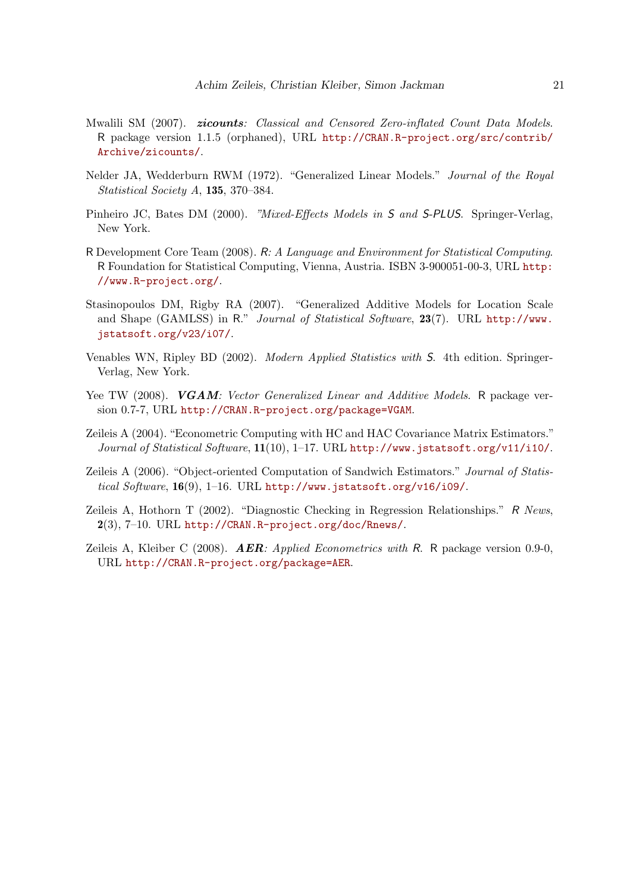- <span id="page-20-3"></span>Mwalili SM (2007). **zicounts**: Classical and Censored Zero-inflated Count Data Models. R package version 1.1.5 (orphaned), URL [http://CRAN.R-project.org/src/contrib/](http://CRAN.R-project.org/src/contrib/Archive/zicounts/) [Archive/zicounts/](http://CRAN.R-project.org/src/contrib/Archive/zicounts/).
- <span id="page-20-0"></span>Nelder JA, Wedderburn RWM (1972). "Generalized Linear Models." Journal of the Royal Statistical Society A, 135, 370–384.
- <span id="page-20-6"></span>Pinheiro JC, Bates DM (2000). "Mixed-Effects Models in S and S-PLUS. Springer-Verlag, New York.
- <span id="page-20-1"></span>R Development Core Team (2008). R: A Language and Environment for Statistical Computing. R Foundation for Statistical Computing, Vienna, Austria. ISBN 3-900051-00-3, URL [http:](http://www.R-project.org/) [//www.R-project.org/](http://www.R-project.org/).
- <span id="page-20-4"></span>Stasinopoulos DM, Rigby RA (2007). "Generalized Additive Models for Location Scale and Shape (GAMLSS) in R." Journal of Statistical Software, 23(7). URL [http://www.](http://www.jstatsoft.org/v23/i07/) [jstatsoft.org/v23/i07/](http://www.jstatsoft.org/v23/i07/).
- <span id="page-20-2"></span>Venables WN, Ripley BD (2002). Modern Applied Statistics with S. 4th edition. Springer-Verlag, New York.
- <span id="page-20-5"></span>Yee TW (2008). VGAM: Vector Generalized Linear and Additive Models. R package version 0.7-7, URL <http://CRAN.R-project.org/package=VGAM>.
- <span id="page-20-8"></span>Zeileis A (2004). "Econometric Computing with HC and HAC Covariance Matrix Estimators." Journal of Statistical Software, 11(10), 1-17. URL <http://www.jstatsoft.org/v11/i10/>.
- <span id="page-20-9"></span>Zeileis A (2006). "Object-oriented Computation of Sandwich Estimators." Journal of Statistical Software,  $16(9)$ , 1-16. URL <http://www.jstatsoft.org/v16/i09/>.
- <span id="page-20-7"></span>Zeileis A, Hothorn T (2002). "Diagnostic Checking in Regression Relationships." R News, 2(3), 7–10. URL <http://CRAN.R-project.org/doc/Rnews/>.
- <span id="page-20-10"></span>Zeileis A, Kleiber C (2008).  $\bf AER:$  *Applied Econometrics with* R. R package version 0.9-0, URL <http://CRAN.R-project.org/package=AER>.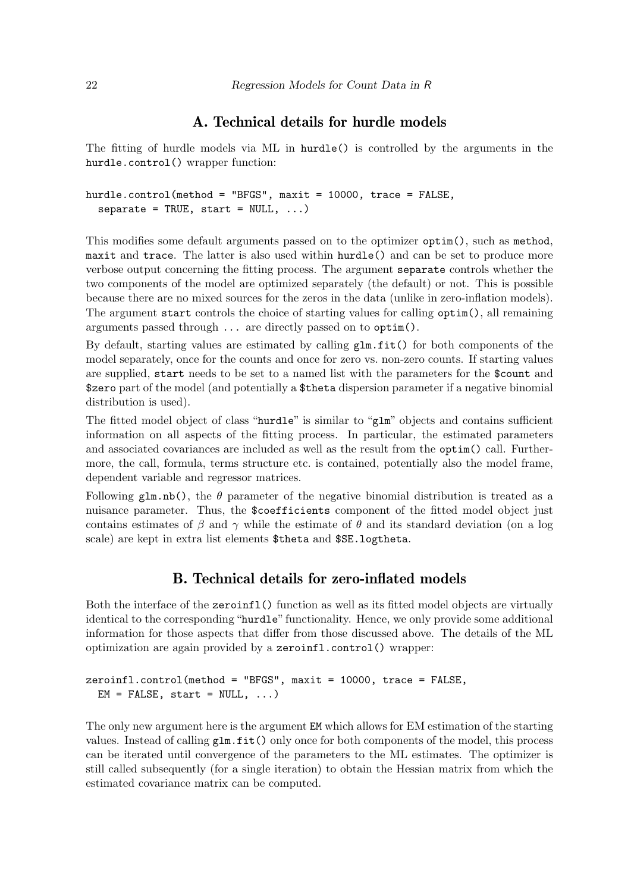### A. Technical details for hurdle models

<span id="page-21-0"></span>The fitting of hurdle models via ML in hurdle() is controlled by the arguments in the hurdle.control() wrapper function:

```
hurdle.control(method = "BFGS", maxit = 10000, trace = FALSE,
  separate = TRUE, start = NULL, ...
```
This modifies some default arguments passed on to the optimizer optim(), such as method, maxit and trace. The latter is also used within hurdle() and can be set to produce more verbose output concerning the fitting process. The argument separate controls whether the two components of the model are optimized separately (the default) or not. This is possible because there are no mixed sources for the zeros in the data (unlike in zero-inflation models). The argument start controls the choice of starting values for calling optim(), all remaining arguments passed through ... are directly passed on to optim().

By default, starting values are estimated by calling  $\text{glm.fit}()$  for both components of the model separately, once for the counts and once for zero vs. non-zero counts. If starting values are supplied, start needs to be set to a named list with the parameters for the \$count and \$zero part of the model (and potentially a \$theta dispersion parameter if a negative binomial distribution is used).

The fitted model object of class "hurdle" is similar to "glm" objects and contains sufficient information on all aspects of the fitting process. In particular, the estimated parameters and associated covariances are included as well as the result from the optim() call. Furthermore, the call, formula, terms structure etc. is contained, potentially also the model frame, dependent variable and regressor matrices.

Following glm.nb(), the  $\theta$  parameter of the negative binomial distribution is treated as a nuisance parameter. Thus, the \$coefficients component of the fitted model object just contains estimates of  $\beta$  and  $\gamma$  while the estimate of  $\theta$  and its standard deviation (on a log scale) are kept in extra list elements \$theta and \$SE.logtheta.

### B. Technical details for zero-inflated models

<span id="page-21-1"></span>Both the interface of the zeroinfl() function as well as its fitted model objects are virtually identical to the corresponding "hurdle" functionality. Hence, we only provide some additional information for those aspects that differ from those discussed above. The details of the ML optimization are again provided by a zeroinfl.control() wrapper:

```
zeroinfl.control(method = "BFGS", maxit = 10000, trace = FALSE,
 EM = FALSE, start = NULL, ...)
```
The only new argument here is the argument EM which allows for EM estimation of the starting values. Instead of calling glm.fit() only once for both components of the model, this process can be iterated until convergence of the parameters to the ML estimates. The optimizer is still called subsequently (for a single iteration) to obtain the Hessian matrix from which the estimated covariance matrix can be computed.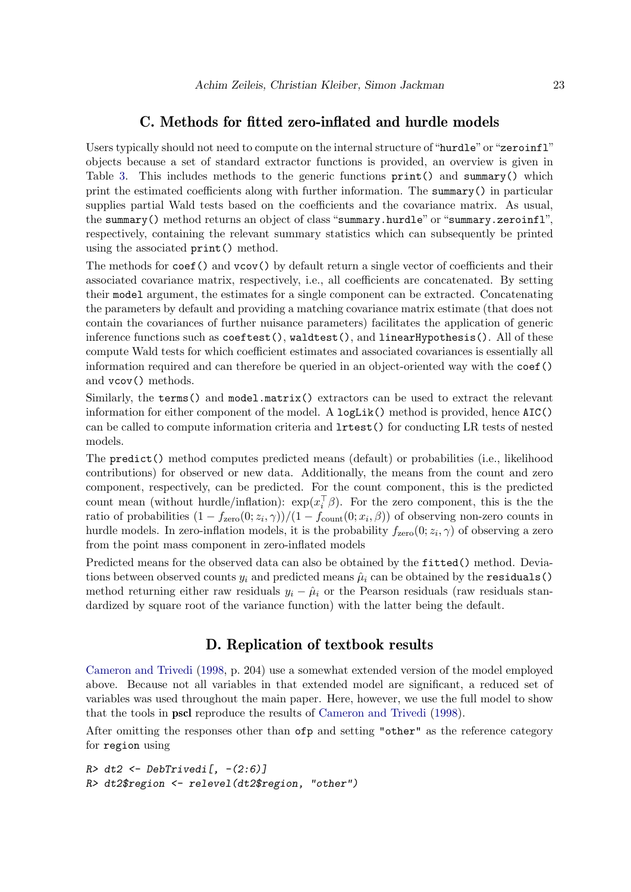### C. Methods for fitted zero-inflated and hurdle models

Users typically should not need to compute on the internal structure of "hurdle" or "zeroinfl" objects because a set of standard extractor functions is provided, an overview is given in Table [3.](#page-23-0) This includes methods to the generic functions  $print()$  and summary() which print the estimated coefficients along with further information. The summary() in particular supplies partial Wald tests based on the coefficients and the covariance matrix. As usual, the summary() method returns an object of class "summary.hurdle" or "summary.zeroinfl", respectively, containing the relevant summary statistics which can subsequently be printed using the associated print() method.

The methods for coef() and vcov() by default return a single vector of coefficients and their associated covariance matrix, respectively, i.e., all coefficients are concatenated. By setting their model argument, the estimates for a single component can be extracted. Concatenating the parameters by default and providing a matching covariance matrix estimate (that does not contain the covariances of further nuisance parameters) facilitates the application of generic inference functions such as coeftest(), waldtest(), and linearHypothesis(). All of these compute Wald tests for which coefficient estimates and associated covariances is essentially all information required and can therefore be queried in an object-oriented way with the coef() and vcov() methods.

Similarly, the terms() and model.matrix() extractors can be used to extract the relevant information for either component of the model. A  $logList()$  method is provided, hence  $AIC()$ can be called to compute information criteria and lrtest() for conducting LR tests of nested models.

The predict() method computes predicted means (default) or probabilities (i.e., likelihood contributions) for observed or new data. Additionally, the means from the count and zero component, respectively, can be predicted. For the count component, this is the predicted count mean (without hurdle/inflation):  $\exp(x_i^{\top}\beta)$ . For the zero component, this is the the ratio of probabilities  $(1 - f_{\text{zero}}(0; z_i, \gamma))/(1 - f_{\text{count}}(0; x_i, \beta))$  of observing non-zero counts in hurdle models. In zero-inflation models, it is the probability  $f_{\text{zero}}(0; z_i, \gamma)$  of observing a zero from the point mass component in zero-inflated models

Predicted means for the observed data can also be obtained by the fitted() method. Deviations between observed counts  $y_i$  and predicted means  $\hat{\mu}_i$  can be obtained by the **residuals**() method returning either raw residuals  $y_i - \hat{\mu}_i$  or the Pearson residuals (raw residuals standardized by square root of the variance function) with the latter being the default.

### D. Replication of textbook results

[Cameron and Trivedi](#page-19-3) [\(1998,](#page-19-3) p. 204) use a somewhat extended version of the model employed above. Because not all variables in that extended model are significant, a reduced set of variables was used throughout the main paper. Here, however, we use the full model to show that the tools in pscl reproduce the results of [Cameron and Trivedi](#page-19-3) [\(1998\)](#page-19-3).

After omitting the responses other than ofp and setting "other" as the reference category for region using

```
R > dt2 \leftarrow DebTrivedi[, -(2:6)R> dt2$region <- relevel(dt2$region, "other")
```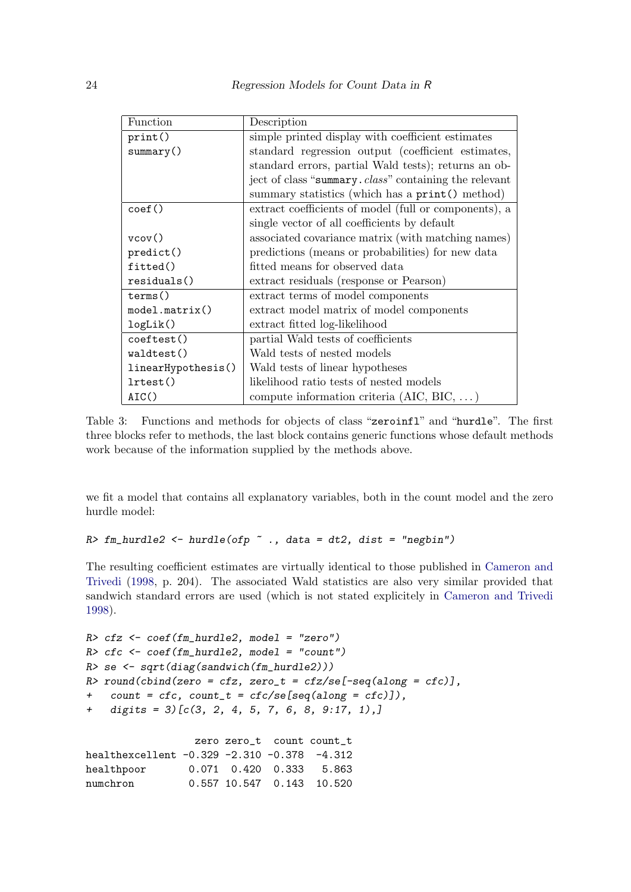| Function           | Description                                                    |
|--------------------|----------------------------------------------------------------|
| print()            | simple printed display with coefficient estimates              |
| summary()          | standard regression output (coefficient estimates,             |
|                    | standard errors, partial Wald tests); returns an ob-           |
|                    | ject of class "summary. <i>class</i> " containing the relevant |
|                    | summary statistics (which has a print () method)               |
| $\text{coef}()$    | extract coefficients of model (full or components), a          |
|                    | single vector of all coefficients by default                   |
| vcov()             | associated covariance matrix (with matching names)             |
| predict()          | predictions (means or probabilities) for new data              |
| fitted()           | fitted means for observed data                                 |
| residuals()        | extract residuals (response or Pearson)                        |
| terms()            | extract terms of model components                              |
| model.matrix()     | extract model matrix of model components                       |
| logList()          | extract fitted log-likelihood                                  |
| coeftest()         | partial Wald tests of coefficients                             |
| waldest()          | Wald tests of nested models                                    |
| linearHypothesis() | Wald tests of linear hypotheses                                |
| lrtest()           | likelihood ratio tests of nested models                        |
| AIC()              | compute information criteria (AIC, BIC, $\dots$ )              |

<span id="page-23-0"></span>Table 3: Functions and methods for objects of class "zeroinfl" and "hurdle". The first three blocks refer to methods, the last block contains generic functions whose default methods work because of the information supplied by the methods above.

we fit a model that contains all explanatory variables, both in the count model and the zero hurdle model:

```
R> fm_hurdle2 <- hurdle(ofp \tilde{ } ., data = dt2, dist = "negbin")
```
The resulting coefficient estimates are virtually identical to those published in [Cameron and](#page-19-3) [Trivedi](#page-19-3) [\(1998,](#page-19-3) p. 204). The associated Wald statistics are also very similar provided that sandwich standard errors are used (which is not stated explicitely in [Cameron and Trivedi](#page-19-3) [1998\)](#page-19-3).

```
R> cfz <- coef(fm_hurdle2, model = "zero")
R> cfc <- coef(fm_hurdle2, model = "count")
R> se <- sqrt(diag(sandwich(fm_hurdle2)))
R> round(cbind(zero = cfz, zero_t = cfz/se[-seq(along = cfc)],
+ count = cfc, count_t = cfc/se[seq(along = cfc)]),
+ digits = 3)[c(3, 2, 4, 5, 7, 6, 8, 9:17, 1),]
                 zero zero_t count count_t
healthexcellent -0.329 -2.310 -0.378 -4.312
healthpoor 0.071 0.420 0.333 5.863
numchron 0.557 10.547 0.143 10.520
```